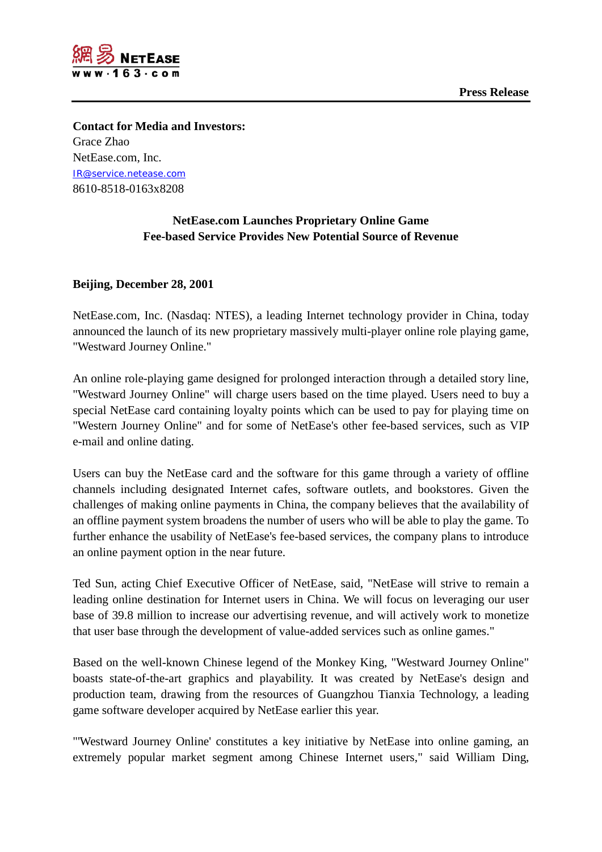



**Contact for Media and Investors:** Grace Zhao NetEase.com, Inc. [IR@service.netease.com](mailto:IR@service.netease.com) 8610-8518-0163x8208

## **NetEase.com Launches Proprietary Online Game Fee-based Service Provides New Potential Source of Revenue**

## **Beijing, December 28, 2001**

NetEase.com, Inc. (Nasdaq: NTES), a leading Internet technology provider in China, today announced the launch of its new proprietary massively multi-player online role playing game, "Westward Journey Online."

An online role-playing game designed for prolonged interaction through a detailed story line, "Westward Journey Online" will charge users based on the time played. Users need to buy a special NetEase card containing loyalty points which can be used to pay for playing time on "Western Journey Online" and for some of NetEase's other fee-based services, such as VIP e-mail and online dating.

Users can buy the NetEase card and the software for this game through a variety of offline channels including designated Internet cafes, software outlets, and bookstores. Given the challenges of making online payments in China, the company believes that the availability of an offline payment system broadens the number of users who will be able to play the game. To further enhance the usability of NetEase's fee-based services, the company plans to introduce an online payment option in the near future.

Ted Sun, acting Chief Executive Officer of NetEase, said, "NetEase will strive to remain a leading online destination for Internet users in China. We will focus on leveraging our user base of 39.8 million to increase our advertising revenue, and will actively work to monetize that user base through the development of value-added services such as online games."

Based on the well-known Chinese legend of the Monkey King, "Westward Journey Online" boasts state-of-the-art graphics and playability. It was created by NetEase's design and production team, drawing from the resources of Guangzhou Tianxia Technology, a leading game software developer acquired by NetEase earlier this year.

"'Westward Journey Online' constitutes a key initiative by NetEase into online gaming, an extremely popular market segment among Chinese Internet users," said William Ding,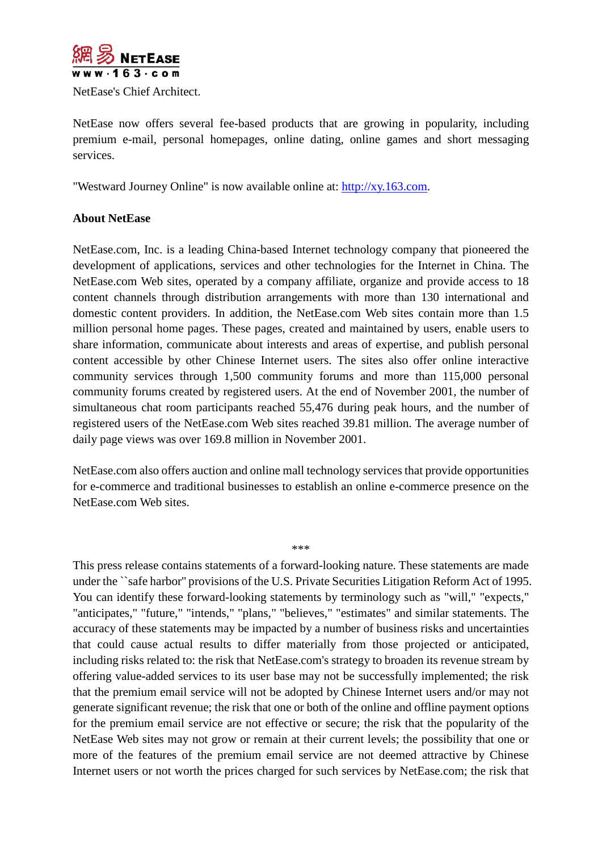

NetEase's Chief Architect.

NetEase now offers several fee-based products that are growing in popularity, including premium e-mail, personal homepages, online dating, online games and short messaging services.

"Westward Journey Online" is now available online at: [http://xy.163.com.](http://xy.163.com/)

## **About NetEase**

NetEase.com, Inc. is a leading China-based Internet technology company that pioneered the development of applications, services and other technologies for the Internet in China. The NetEase.com Web sites, operated by a company affiliate, organize and provide access to 18 content channels through distribution arrangements with more than 130 international and domestic content providers. In addition, the NetEase.com Web sites contain more than 1.5 million personal home pages. These pages, created and maintained by users, enable users to share information, communicate about interests and areas of expertise, and publish personal content accessible by other Chinese Internet users. The sites also offer online interactive community services through 1,500 community forums and more than 115,000 personal community forums created by registered users. At the end of November 2001, the number of simultaneous chat room participants reached 55,476 during peak hours, and the number of registered users of the NetEase.com Web sites reached 39.81 million. The average number of daily page views was over 169.8 million in November 2001.

NetEase.com also offers auction and online mall technology services that provide opportunities for e-commerce and traditional businesses to establish an online e-commerce presence on the NetEase.com Web sites.

\*\*\*

This press release contains statements of a forward-looking nature. These statements are made under the ``safe harbor'' provisions of the U.S. Private Securities Litigation Reform Act of 1995. You can identify these forward-looking statements by terminology such as "will," "expects," "anticipates," "future," "intends," "plans," "believes," "estimates" and similar statements. The accuracy of these statements may be impacted by a number of business risks and uncertainties that could cause actual results to differ materially from those projected or anticipated, including risks related to: the risk that NetEase.com's strategy to broaden its revenue stream by offering value-added services to its user base may not be successfully implemented; the risk that the premium email service will not be adopted by Chinese Internet users and/or may not generate significant revenue; the risk that one or both of the online and offline payment options for the premium email service are not effective or secure; the risk that the popularity of the NetEase Web sites may not grow or remain at their current levels; the possibility that one or more of the features of the premium email service are not deemed attractive by Chinese Internet users or not worth the prices charged for such services by NetEase.com; the risk that